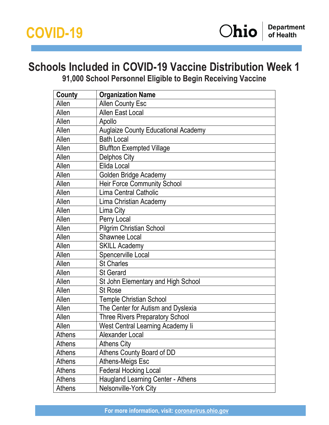Ohio

## **Schools Included in COVID-19 Vaccine Distribution Week 1**

**91,000 School Personnel Eligible to Begin Receiving Vaccine**

| County        | <b>Organization Name</b>                   |
|---------------|--------------------------------------------|
| Allen         | <b>Allen County Esc</b>                    |
| Allen         | <b>Allen East Local</b>                    |
| Allen         | Apollo                                     |
| Allen         | <b>Auglaize County Educational Academy</b> |
| Allen         | <b>Bath Local</b>                          |
| Allen         | <b>Bluffton Exempted Village</b>           |
| Allen         | <b>Delphos City</b>                        |
| Allen         | Elida Local                                |
| Allen         | Golden Bridge Academy                      |
| Allen         | <b>Heir Force Community School</b>         |
| Allen         | <b>Lima Central Catholic</b>               |
| Allen         | Lima Christian Academy                     |
| Allen         | Lima City                                  |
| Allen         | Perry Local                                |
| Allen         | <b>Pilgrim Christian School</b>            |
| Allen         | Shawnee Local                              |
| Allen         | <b>SKILL Academy</b>                       |
| Allen         | Spencerville Local                         |
| Allen         | <b>St Charles</b>                          |
| Allen         | <b>St Gerard</b>                           |
| Allen         | St John Elementary and High School         |
| Allen         | <b>St Rose</b>                             |
| Allen         | <b>Temple Christian School</b>             |
| Allen         | The Center for Autism and Dyslexia         |
| Allen         | <b>Three Rivers Preparatory School</b>     |
| Allen         | West Central Learning Academy li           |
| Athens        | <b>Alexander Local</b>                     |
| <b>Athens</b> | <b>Athens City</b>                         |
| <b>Athens</b> | Athens County Board of DD                  |
| <b>Athens</b> | Athens-Meigs Esc                           |
| Athens        | <b>Federal Hocking Local</b>               |
| Athens        | <b>Haugland Learning Center - Athens</b>   |
| Athens        | Nelsonville-York City                      |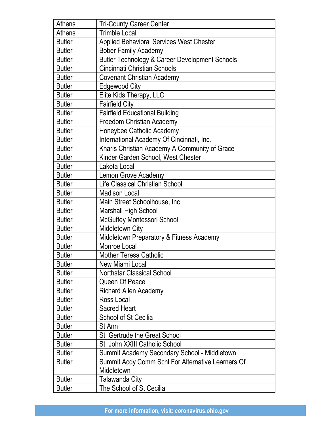| <b>Athens</b> | <b>Tri-County Career Center</b>                   |
|---------------|---------------------------------------------------|
| <b>Athens</b> | <b>Trimble Local</b>                              |
| <b>Butler</b> | Applied Behavioral Services West Chester          |
| <b>Butler</b> | <b>Bober Family Academy</b>                       |
| <b>Butler</b> | Butler Technology & Career Development Schools    |
| <b>Butler</b> | Cincinnati Christian Schools                      |
| <b>Butler</b> | <b>Covenant Christian Academy</b>                 |
| <b>Butler</b> | <b>Edgewood City</b>                              |
| <b>Butler</b> | Elite Kids Therapy, LLC                           |
| <b>Butler</b> | <b>Fairfield City</b>                             |
| <b>Butler</b> | <b>Fairfield Educational Building</b>             |
| <b>Butler</b> | <b>Freedom Christian Academy</b>                  |
| <b>Butler</b> | Honeybee Catholic Academy                         |
| <b>Butler</b> | International Academy Of Cincinnati, Inc.         |
| <b>Butler</b> | Kharis Christian Academy A Community of Grace     |
| <b>Butler</b> | Kinder Garden School, West Chester                |
| <b>Butler</b> | Lakota Local                                      |
| <b>Butler</b> | Lemon Grove Academy                               |
| <b>Butler</b> | Life Classical Christian School                   |
| <b>Butler</b> | <b>Madison Local</b>                              |
| <b>Butler</b> | Main Street Schoolhouse, Inc.                     |
| <b>Butler</b> | <b>Marshall High School</b>                       |
| <b>Butler</b> | McGuffey Montessori School                        |
| <b>Butler</b> | <b>Middletown City</b>                            |
| <b>Butler</b> | Middletown Preparatory & Fitness Academy          |
| <b>Butler</b> | Monroe Local                                      |
| <b>Butler</b> | <b>Mother Teresa Catholic</b>                     |
| <b>Butler</b> | New Miami Local                                   |
| <b>Butler</b> | <b>Northstar Classical School</b>                 |
| <b>Butler</b> | Queen Of Peace                                    |
| <b>Butler</b> | Richard Allen Academy                             |
| <b>Butler</b> | Ross Local                                        |
| <b>Butler</b> | <b>Sacred Heart</b>                               |
| <b>Butler</b> | <b>School of St Cecilia</b>                       |
| <b>Butler</b> | St Ann                                            |
| <b>Butler</b> | St. Gertrude the Great School                     |
| <b>Butler</b> | St. John XXIII Catholic School                    |
| <b>Butler</b> | Summit Academy Secondary School - Middletown      |
| <b>Butler</b> | Summit Acdy Comm Schl For Alternative Learners Of |
|               | Middletown                                        |
| <b>Butler</b> | Talawanda City                                    |
| <b>Butler</b> | The School of St Cecilia                          |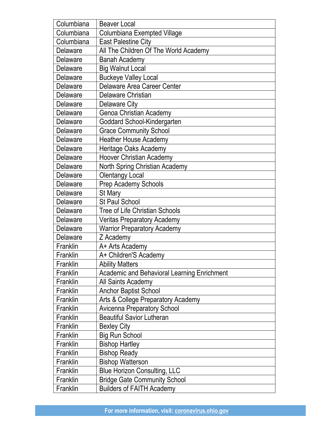| Columbiana | <b>Beaver Local</b>                                |
|------------|----------------------------------------------------|
| Columbiana | Columbiana Exempted Village                        |
| Columbiana | <b>East Palestine City</b>                         |
| Delaware   | All The Children Of The World Academy              |
| Delaware   | <b>Banah Academy</b>                               |
| Delaware   | <b>Big Walnut Local</b>                            |
| Delaware   | <b>Buckeye Valley Local</b>                        |
| Delaware   | <b>Delaware Area Career Center</b>                 |
| Delaware   | <b>Delaware Christian</b>                          |
| Delaware   | Delaware City                                      |
| Delaware   | <b>Genoa Christian Academy</b>                     |
| Delaware   | Goddard School-Kindergarten                        |
| Delaware   | <b>Grace Community School</b>                      |
| Delaware   | <b>Heather House Academy</b>                       |
| Delaware   | Heritage Oaks Academy                              |
| Delaware   | <b>Hoover Christian Academy</b>                    |
| Delaware   | North Spring Christian Academy                     |
| Delaware   | <b>Olentangy Local</b>                             |
| Delaware   | Prep Academy Schools                               |
| Delaware   | St Mary                                            |
| Delaware   | <b>St Paul School</b>                              |
| Delaware   | <b>Tree of Life Christian Schools</b>              |
| Delaware   | <b>Veritas Preparatory Academy</b>                 |
| Delaware   | <b>Warrior Preparatory Academy</b>                 |
| Delaware   | Z Academy                                          |
| Franklin   | A+ Arts Academy                                    |
| Franklin   | A+ Children'S Academy                              |
| Franklin   | <b>Ability Matters</b>                             |
| Franklin   | <b>Academic and Behavioral Learning Enrichment</b> |
| Franklin   | All Saints Academy                                 |
| Franklin   | <b>Anchor Baptist School</b>                       |
| Franklin   | Arts & College Preparatory Academy                 |
| Franklin   | <b>Avicenna Preparatory School</b>                 |
| Franklin   | <b>Beautiful Savior Lutheran</b>                   |
| Franklin   | <b>Bexley City</b>                                 |
| Franklin   | <b>Big Run School</b>                              |
| Franklin   | <b>Bishop Hartley</b>                              |
| Franklin   | <b>Bishop Ready</b>                                |
| Franklin   | <b>Bishop Watterson</b>                            |
| Franklin   | <b>Blue Horizon Consulting, LLC</b>                |
| Franklin   | <b>Bridge Gate Community School</b>                |
| Franklin   | <b>Builders of FAITH Academy</b>                   |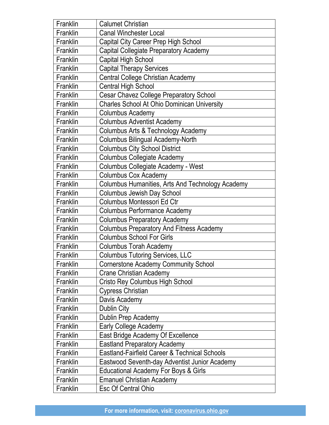| Franklin        | <b>Calumet Christian</b>                           |
|-----------------|----------------------------------------------------|
| Franklin        | <b>Canal Winchester Local</b>                      |
| <b>Franklin</b> | Capital City Career Prep High School               |
| Franklin        | <b>Capital Collegiate Preparatory Academy</b>      |
| Franklin        | <b>Capital High School</b>                         |
| Franklin        | <b>Capital Therapy Services</b>                    |
| Franklin        | <b>Central College Christian Academy</b>           |
| Franklin        | <b>Central High School</b>                         |
| Franklin        | <b>Cesar Chavez College Preparatory School</b>     |
| Franklin        | <b>Charles School At Ohio Dominican University</b> |
| Franklin        | Columbus Academy                                   |
| Franklin        | <b>Columbus Adventist Academy</b>                  |
| Franklin        | Columbus Arts & Technology Academy                 |
| Franklin        | <b>Columbus Bilingual Academy-North</b>            |
| Franklin        | <b>Columbus City School District</b>               |
| Franklin        | <b>Columbus Collegiate Academy</b>                 |
| Franklin        | Columbus Collegiate Academy - West                 |
| Franklin        | <b>Columbus Cox Academy</b>                        |
| Franklin        | Columbus Humanities, Arts And Technology Academy   |
| Franklin        | <b>Columbus Jewish Day School</b>                  |
| Franklin        | Columbus Montessori Ed Ctr                         |
| Franklin        | Columbus Performance Academy                       |
| Franklin        | <b>Columbus Preparatory Academy</b>                |
| Franklin        | <b>Columbus Preparatory And Fitness Academy</b>    |
| Franklin        | <b>Columbus School For Girls</b>                   |
| Franklin        | <b>Columbus Torah Academy</b>                      |
| Franklin        | <b>Columbus Tutoring Services, LLC</b>             |
| Franklin        | <b>Cornerstone Academy Community School</b>        |
| Franklin        | <b>Crane Christian Academy</b>                     |
| Franklin        | Cristo Rey Columbus High School                    |
| Franklin        | <b>Cypress Christian</b>                           |
| Franklin        | Davis Academy                                      |
| Franklin        | Dublin City                                        |
| Franklin        | Dublin Prep Academy                                |
| Franklin        | <b>Early College Academy</b>                       |
| Franklin        | East Bridge Academy Of Excellence                  |
| Franklin        | <b>Eastland Preparatory Academy</b>                |
| Franklin        | Eastland-Fairfield Career & Technical Schools      |
| Franklin        | Eastwood Seventh-day Adventist Junior Academy      |
| Franklin        | <b>Educational Academy For Boys &amp; Girls</b>    |
| Franklin        | <b>Emanuel Christian Academy</b>                   |
| Franklin        | Esc Of Central Ohio                                |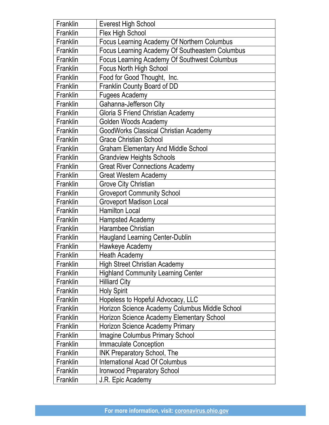| Franklin | <b>Everest High School</b>                      |
|----------|-------------------------------------------------|
| Franklin | <b>Flex High School</b>                         |
| Franklin | Focus Learning Academy Of Northern Columbus     |
| Franklin | Focus Learning Academy Of Southeastern Columbus |
| Franklin | Focus Learning Academy Of Southwest Columbus    |
| Franklin | Focus North High School                         |
| Franklin | Food for Good Thought, Inc.                     |
| Franklin | Franklin County Board of DD                     |
| Franklin | <b>Fugees Academy</b>                           |
| Franklin | Gahanna-Jefferson City                          |
| Franklin | Gloria S Friend Christian Academy               |
| Franklin | Golden Woods Academy                            |
| Franklin | <b>GoodWorks Classical Christian Academy</b>    |
| Franklin | <b>Grace Christian School</b>                   |
| Franklin | <b>Graham Elementary And Middle School</b>      |
| Franklin | <b>Grandview Heights Schools</b>                |
| Franklin | <b>Great River Connections Academy</b>          |
| Franklin | <b>Great Western Academy</b>                    |
| Franklin | Grove City Christian                            |
| Franklin | <b>Groveport Community School</b>               |
| Franklin | <b>Groveport Madison Local</b>                  |
| Franklin | <b>Hamilton Local</b>                           |
| Franklin | <b>Hampsted Academy</b>                         |
| Franklin | Harambee Christian                              |
| Franklin | <b>Haugland Learning Center-Dublin</b>          |
| Franklin | Hawkeye Academy                                 |
| Franklin | <b>Heath Academy</b>                            |
| Franklin | <b>High Street Christian Academy</b>            |
| Franklin | <b>Highland Community Learning Center</b>       |
| Franklin | <b>Hilliard City</b>                            |
| Franklin | <b>Holy Spirit</b>                              |
| Franklin | Hopeless to Hopeful Advocacy, LLC               |
| Franklin | Horizon Science Academy Columbus Middle School  |
| Franklin | Horizon Science Academy Elementary School       |
| Franklin | Horizon Science Academy Primary                 |
| Franklin | <b>Imagine Columbus Primary School</b>          |
| Franklin | <b>Immaculate Conception</b>                    |
| Franklin | <b>INK Preparatory School, The</b>              |
| Franklin | <b>International Acad Of Columbus</b>           |
| Franklin | <b>Ironwood Preparatory School</b>              |
| Franklin | J.R. Epic Academy                               |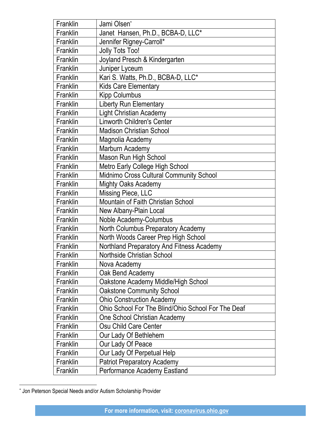| Franklin        | Jami Olsen*                                        |
|-----------------|----------------------------------------------------|
| Franklin        | Janet Hansen, Ph.D., BCBA-D, LLC*                  |
| Franklin        | Jennifer Rigney-Carroll*                           |
| <b>Franklin</b> | <b>Jolly Tots Too!</b>                             |
| Franklin        | Joyland Presch & Kindergarten                      |
| Franklin        | Juniper Lyceum                                     |
| Franklin        | Kari S. Watts, Ph.D., BCBA-D, LLC*                 |
| Franklin        | <b>Kids Care Elementary</b>                        |
| Franklin        | <b>Kipp Columbus</b>                               |
| Franklin        | Liberty Run Elementary                             |
| Franklin        | <b>Light Christian Academy</b>                     |
| Franklin        | <b>Linworth Children's Center</b>                  |
| Franklin        | <b>Madison Christian School</b>                    |
| Franklin        | Magnolia Academy                                   |
| Franklin        | Marburn Academy                                    |
| Franklin        | Mason Run High School                              |
| Franklin        | Metro Early College High School                    |
| Franklin        | Midnimo Cross Cultural Community School            |
| Franklin        | <b>Mighty Oaks Academy</b>                         |
| Franklin        | Missing Piece, LLC                                 |
| Franklin        | Mountain of Faith Christian School                 |
| Franklin        | New Albany-Plain Local                             |
| Franklin        | Noble Academy-Columbus                             |
| Franklin        | North Columbus Preparatory Academy                 |
| Franklin        | North Woods Career Prep High School                |
| Franklin        | Northland Preparatory And Fitness Academy          |
| Franklin        | Northside Christian School                         |
| Franklin        | Nova Academy                                       |
| Franklin        | Oak Bend Academy                                   |
| Franklin        | Oakstone Academy Middle/High School                |
| Franklin        | <b>Oakstone Community School</b>                   |
| Franklin        | <b>Ohio Construction Academy</b>                   |
| Franklin        | Ohio School For The Blind/Ohio School For The Deaf |
| Franklin        | One School Christian Academy                       |
| Franklin        | Osu Child Care Center                              |
| Franklin        | Our Lady Of Bethlehem                              |
| Franklin        | Our Lady Of Peace                                  |
| Franklin        | Our Lady Of Perpetual Help                         |
| Franklin        | <b>Patriot Preparatory Academy</b>                 |
| Franklin        | Performance Academy Eastland                       |

<sup>\*</sup> Jon Peterson Special Needs and/or Autism Scholarship Provider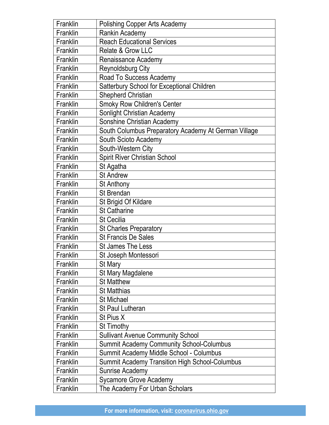| Franklin        | <b>Polishing Copper Arts Academy</b>                  |
|-----------------|-------------------------------------------------------|
| Franklin        | Rankin Academy                                        |
| Franklin        | <b>Reach Educational Services</b>                     |
| Franklin        | Relate & Grow LLC                                     |
| Franklin        | Renaissance Academy                                   |
| Franklin        | <b>Reynoldsburg City</b>                              |
| Franklin        | Road To Success Academy                               |
| Franklin        | Satterbury School for Exceptional Children            |
| Franklin        | <b>Shepherd Christian</b>                             |
| Franklin        | <b>Smoky Row Children's Center</b>                    |
| <b>Franklin</b> | Sonlight Christian Academy                            |
| Franklin        | Sonshine Christian Academy                            |
| Franklin        | South Columbus Preparatory Academy At German Village  |
| Franklin        | South Scioto Academy                                  |
| <b>Franklin</b> | South-Western City                                    |
| Franklin        | <b>Spirit River Christian School</b>                  |
| Franklin        | St Agatha                                             |
| Franklin        | <b>St Andrew</b>                                      |
| Franklin        | <b>St Anthony</b>                                     |
| Franklin        | <b>St Brendan</b>                                     |
| Franklin        | St Brigid Of Kildare                                  |
| Franklin        | <b>St Catharine</b>                                   |
| Franklin        | <b>St Cecilia</b>                                     |
| Franklin        | <b>St Charles Preparatory</b>                         |
| Franklin        | <b>St Francis De Sales</b>                            |
| Franklin        | St James The Less                                     |
| Franklin        | St Joseph Montessori                                  |
| Franklin        | <b>St Mary</b>                                        |
| Franklin        | St Mary Magdalene                                     |
| Franklin        | <b>St Matthew</b>                                     |
| Franklin        | <b>St Matthias</b>                                    |
| Franklin        | <b>St Michael</b>                                     |
| Franklin        | <b>St Paul Lutheran</b>                               |
| Franklin        | St Pius X                                             |
| Franklin        | St Timothy                                            |
| Franklin        | <b>Sullivant Avenue Community School</b>              |
| Franklin        | <b>Summit Academy Community School-Columbus</b>       |
| Franklin        | Summit Academy Middle School - Columbus               |
| Franklin        | <b>Summit Academy Transition High School-Columbus</b> |
| Franklin        | <b>Sunrise Academy</b>                                |
| Franklin        | <b>Sycamore Grove Academy</b>                         |
| Franklin        | The Academy For Urban Scholars                        |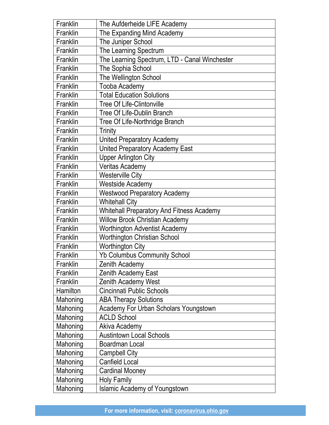| Franklin        | The Aufderheide LIFE Academy                     |
|-----------------|--------------------------------------------------|
| Franklin        | The Expanding Mind Academy                       |
| Franklin        | The Juniper School                               |
| Franklin        | The Learning Spectrum                            |
| Franklin        | The Learning Spectrum, LTD - Canal Winchester    |
| Franklin        | The Sophia School                                |
| Franklin        | The Wellington School                            |
| Franklin        | Tooba Academy                                    |
| Franklin        | <b>Total Education Solutions</b>                 |
| Franklin        | <b>Tree Of Life-Clintonville</b>                 |
| Franklin        | Tree Of Life-Dublin Branch                       |
| Franklin        | Tree Of Life-Northridge Branch                   |
| Franklin        | <b>Trinity</b>                                   |
| Franklin        | <b>United Preparatory Academy</b>                |
| Franklin        | <b>United Preparatory Academy East</b>           |
| Franklin        | <b>Upper Arlington City</b>                      |
| Franklin        | <b>Veritas Academy</b>                           |
| Franklin        | <b>Westerville City</b>                          |
| Franklin        | <b>Westside Academy</b>                          |
| Franklin        | <b>Westwood Preparatory Academy</b>              |
| Franklin        | <b>Whitehall City</b>                            |
| Franklin        | <b>Whitehall Preparatory And Fitness Academy</b> |
| Franklin        | <b>Willow Brook Christian Academy</b>            |
| Franklin        | <b>Worthington Adventist Academy</b>             |
| Franklin        | <b>Worthington Christian School</b>              |
| Franklin        | <b>Worthington City</b>                          |
| Franklin        | <b>Yb Columbus Community School</b>              |
| Franklin        | Zenith Academy                                   |
| Franklin        | Zenith Academy East                              |
| <b>Franklin</b> | Zenith Academy West                              |
| Hamilton        | Cincinnati Public Schools                        |
| Mahoning        | <b>ABA Therapy Solutions</b>                     |
| Mahoning        | Academy For Urban Scholars Youngstown            |
| Mahoning        | <b>ACLD School</b>                               |
| Mahoning        | Akiva Academy                                    |
| Mahoning        | <b>Austintown Local Schools</b>                  |
| Mahoning        | <b>Boardman Local</b>                            |
| Mahoning        | <b>Campbell City</b>                             |
| Mahoning        | <b>Canfield Local</b>                            |
| Mahoning        | <b>Cardinal Mooney</b>                           |
| Mahoning        | <b>Holy Family</b>                               |
| Mahoning        | <b>Islamic Academy of Youngstown</b>             |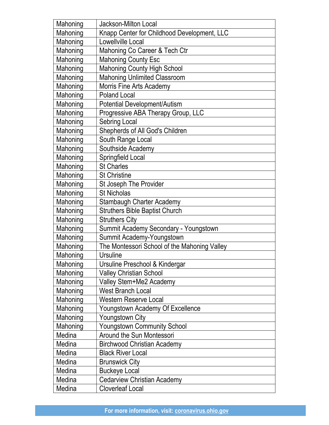| Mahoning | <b>Jackson-Milton Local</b>                  |
|----------|----------------------------------------------|
| Mahoning | Knapp Center for Childhood Development, LLC  |
| Mahoning | Lowellville Local                            |
| Mahoning | Mahoning Co Career & Tech Ctr                |
| Mahoning | <b>Mahoning County Esc</b>                   |
| Mahoning | <b>Mahoning County High School</b>           |
| Mahoning | <b>Mahoning Unlimited Classroom</b>          |
| Mahoning | Morris Fine Arts Academy                     |
| Mahoning | <b>Poland Local</b>                          |
| Mahoning | Potential Development/Autism                 |
| Mahoning | Progressive ABA Therapy Group, LLC           |
| Mahoning | Sebring Local                                |
| Mahoning | Shepherds of All God's Children              |
| Mahoning | South Range Local                            |
| Mahoning | Southside Academy                            |
| Mahoning | Springfield Local                            |
| Mahoning | <b>St Charles</b>                            |
| Mahoning | <b>St Christine</b>                          |
| Mahoning | St Joseph The Provider                       |
| Mahoning | <b>St Nicholas</b>                           |
| Mahoning | <b>Stambaugh Charter Academy</b>             |
| Mahoning | <b>Struthers Bible Baptist Church</b>        |
| Mahoning | <b>Struthers City</b>                        |
| Mahoning | Summit Academy Secondary - Youngstown        |
| Mahoning | Summit Academy-Youngstown                    |
| Mahoning | The Montessori School of the Mahoning Valley |
| Mahoning | Ursuline                                     |
| Mahoning | Ursuline Preschool & Kindergar               |
| Mahoning | <b>Valley Christian School</b>               |
| Mahoning | Valley Stem+Me2 Academy                      |
| Mahoning | <b>West Branch Local</b>                     |
| Mahoning | <b>Western Reserve Local</b>                 |
| Mahoning | Youngstown Academy Of Excellence             |
| Mahoning | <b>Youngstown City</b>                       |
| Mahoning | <b>Youngstown Community School</b>           |
| Medina   | Around the Sun Montessori                    |
| Medina   | <b>Birchwood Christian Academy</b>           |
| Medina   | <b>Black River Local</b>                     |
| Medina   | <b>Brunswick City</b>                        |
| Medina   | <b>Buckeye Local</b>                         |
| Medina   | <b>Cedarview Christian Academy</b>           |
| Medina   | <b>Cloverleaf Local</b>                      |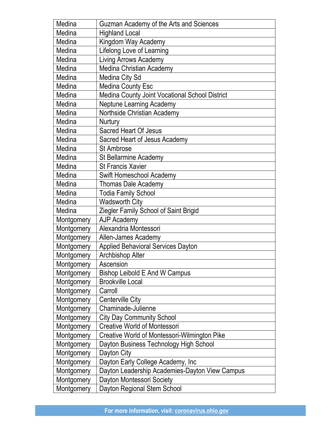| Medina     | Guzman Academy of the Arts and Sciences        |
|------------|------------------------------------------------|
| Medina     | <b>Highland Local</b>                          |
| Medina     | Kingdom Way Academy                            |
| Medina     | Lifelong Love of Learning                      |
| Medina     | <b>Living Arrows Academy</b>                   |
| Medina     | Medina Christian Academy                       |
| Medina     | Medina City Sd                                 |
| Medina     | <b>Medina County Esc</b>                       |
| Medina     | Medina County Joint Vocational School District |
| Medina     | Neptune Learning Academy                       |
| Medina     | Northside Christian Academy                    |
| Medina     | <b>Nurtury</b>                                 |
| Medina     | <b>Sacred Heart Of Jesus</b>                   |
| Medina     | Sacred Heart of Jesus Academy                  |
| Medina     | <b>St Ambrose</b>                              |
| Medina     | <b>St Bellarmine Academy</b>                   |
| Medina     | <b>St Francis Xavier</b>                       |
| Medina     | Swift Homeschool Academy                       |
| Medina     | <b>Thomas Dale Academy</b>                     |
| Medina     | <b>Todia Family School</b>                     |
| Medina     | <b>Wadsworth City</b>                          |
| Medina     | Ziegler Family School of Saint Brigid          |
| Montgomery | AJP Academy                                    |
| Montgomery | Alexandria Montessori                          |
| Montgomery | Allen-James Academy                            |
| Montgomery | <b>Applied Behavioral Services Dayton</b>      |
| Montgomery | <b>Archbishop Alter</b>                        |
| Montgomery | Ascension                                      |
| Montgomery | <b>Bishop Leibold E And W Campus</b>           |
| Montgomery | <b>Brookville Local</b>                        |
| Montgomery | Carroll                                        |
| Montgomery | <b>Centerville City</b>                        |
| Montgomery | Chaminade-Julienne                             |
| Montgomery | <b>City Day Community School</b>               |
| Montgomery | <b>Creative World of Montessori</b>            |
| Montgomery | Creative World of Montessori-Wilmington Pike   |
| Montgomery | Dayton Business Technology High School         |
| Montgomery | Dayton City                                    |
| Montgomery | Dayton Early College Academy, Inc.             |
| Montgomery | Dayton Leadership Academies-Dayton View Campus |
| Montgomery | Dayton Montessori Society                      |
| Montgomery | Dayton Regional Stem School                    |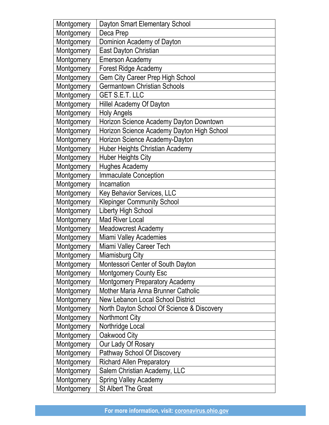| Montgomery | Dayton Smart Elementary School             |
|------------|--------------------------------------------|
| Montgomery | Deca Prep                                  |
| Montgomery | Dominion Academy of Dayton                 |
| Montgomery | East Dayton Christian                      |
| Montgomery | <b>Emerson Academy</b>                     |
| Montgomery | <b>Forest Ridge Academy</b>                |
| Montgomery | Gem City Career Prep High School           |
| Montgomery | <b>Germantown Christian Schools</b>        |
| Montgomery | <b>GET S.E.T. LLC</b>                      |
| Montgomery | Hillel Academy Of Dayton                   |
| Montgomery | <b>Holy Angels</b>                         |
| Montgomery | Horizon Science Academy Dayton Downtown    |
| Montgomery | Horizon Science Academy Dayton High School |
| Montgomery | Horizon Science Academy-Dayton             |
| Montgomery | <b>Huber Heights Christian Academy</b>     |
| Montgomery | <b>Huber Heights City</b>                  |
| Montgomery | <b>Hughes Academy</b>                      |
| Montgomery | <b>Immaculate Conception</b>               |
| Montgomery | Incarnation                                |
| Montgomery | Key Behavior Services, LLC                 |
| Montgomery | <b>Klepinger Community School</b>          |
| Montgomery | Liberty High School                        |
| Montgomery | <b>Mad River Local</b>                     |
| Montgomery | Meadowcrest Academy                        |
| Montgomery | Miami Valley Academies                     |
| Montgomery | Miami Valley Career Tech                   |
| Montgomery | Miamisburg City                            |
| Montgomery | Montessori Center of South Dayton          |
| Montgomery | <b>Montgomery County Esc</b>               |
| Montgomery | <b>Montgomery Preparatory Academy</b>      |
| Montgomery | Mother Maria Anna Brunner Catholic         |
| Montgomery | New Lebanon Local School District          |
| Montgomery | North Dayton School Of Science & Discovery |
| Montgomery | Northmont City                             |
| Montgomery | Northridge Local                           |
| Montgomery | Oakwood City                               |
| Montgomery | Our Lady Of Rosary                         |
| Montgomery | Pathway School Of Discovery                |
| Montgomery | <b>Richard Allen Preparatory</b>           |
| Montgomery | Salem Christian Academy, LLC               |
| Montgomery | <b>Spring Valley Academy</b>               |
| Montgomery | <b>St Albert The Great</b>                 |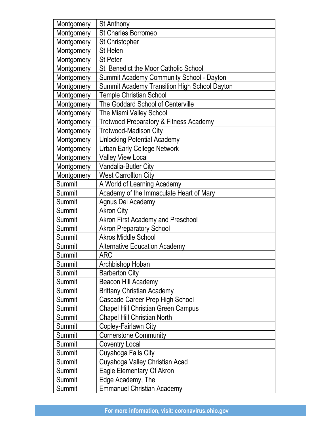| Montgomery | <b>St Anthony</b>                                 |
|------------|---------------------------------------------------|
| Montgomery | <b>St Charles Borromeo</b>                        |
| Montgomery | <b>St Christopher</b>                             |
| Montgomery | St Helen                                          |
| Montgomery | <b>St Peter</b>                                   |
| Montgomery | St. Benedict the Moor Catholic School             |
| Montgomery | Summit Academy Community School - Dayton          |
| Montgomery | Summit Academy Transition High School Dayton      |
| Montgomery | <b>Temple Christian School</b>                    |
| Montgomery | The Goddard School of Centerville                 |
| Montgomery | The Miami Valley School                           |
| Montgomery | <b>Trotwood Preparatory &amp; Fitness Academy</b> |
| Montgomery | <b>Trotwood-Madison City</b>                      |
| Montgomery | <b>Unlocking Potential Academy</b>                |
| Montgomery | <b>Urban Early College Network</b>                |
| Montgomery | <b>Valley View Local</b>                          |
| Montgomery | Vandalia-Butler City                              |
| Montgomery | <b>West Carrollton City</b>                       |
| Summit     | A World of Learning Academy                       |
| Summit     | Academy of the Immaculate Heart of Mary           |
| Summit     | Agnus Dei Academy                                 |
| Summit     | <b>Akron City</b>                                 |
| Summit     | Akron First Academy and Preschool                 |
| Summit     | <b>Akron Preparatory School</b>                   |
| Summit     | <b>Akros Middle School</b>                        |
| Summit     | <b>Alternative Education Academy</b>              |
| Summit     | <b>ARC</b>                                        |
| Summit     | Archbishop Hoban                                  |
| Summit     | <b>Barberton City</b>                             |
| Summit     | Beacon Hill Academy                               |
| Summit     | <b>Brittany Christian Academy</b>                 |
| Summit     | Cascade Career Prep High School                   |
| Summit     | <b>Chapel Hill Christian Green Campus</b>         |
| Summit     | <b>Chapel Hill Christian North</b>                |
| Summit     | Copley-Fairlawn City                              |
| Summit     | <b>Cornerstone Community</b>                      |
| Summit     | <b>Coventry Local</b>                             |
| Summit     | Cuyahoga Falls City                               |
| Summit     | Cuyahoga Valley Christian Acad                    |
| Summit     | Eagle Elementary Of Akron                         |
| Summit     | Edge Academy, The                                 |
| Summit     | <b>Emmanuel Christian Academy</b>                 |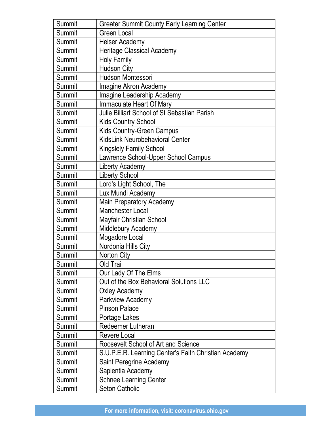| Summit        | <b>Greater Summit County Early Learning Center</b>   |
|---------------|------------------------------------------------------|
| Summit        | <b>Green Local</b>                                   |
| Summit        | <b>Heiser Academy</b>                                |
| Summit        | <b>Heritage Classical Academy</b>                    |
| Summit        | <b>Holy Family</b>                                   |
| Summit        | <b>Hudson City</b>                                   |
| Summit        | <b>Hudson Montessori</b>                             |
| Summit        | Imagine Akron Academy                                |
| Summit        | Imagine Leadership Academy                           |
| Summit        | Immaculate Heart Of Mary                             |
| Summit        | Julie Billiart School of St Sebastian Parish         |
| Summit        | <b>Kids Country School</b>                           |
| <b>Summit</b> | Kids Country-Green Campus                            |
| Summit        | KidsLink Neurobehavioral Center                      |
| Summit        | <b>Kingslely Family School</b>                       |
| Summit        | Lawrence School-Upper School Campus                  |
| Summit        | <b>Liberty Academy</b>                               |
| <b>Summit</b> | <b>Liberty School</b>                                |
| Summit        | Lord's Light School, The                             |
| Summit        | Lux Mundi Academy                                    |
| Summit        | <b>Main Preparatory Academy</b>                      |
| Summit        | Manchester Local                                     |
| Summit        | Mayfair Christian School                             |
| Summit        | Middlebury Academy                                   |
| Summit        | Mogadore Local                                       |
| Summit        | Nordonia Hills City                                  |
| Summit        | Norton City                                          |
| Summit        | Old Trail                                            |
| Summit        | Our Lady Of The Elms                                 |
| Summit        | Out of the Box Behavioral Solutions LLC              |
| Summit        | <b>Oxley Academy</b>                                 |
| Summit        | Parkview Academy                                     |
| Summit        | <b>Pinson Palace</b>                                 |
| Summit        | Portage Lakes                                        |
| Summit        | Redeemer Lutheran                                    |
| Summit        | Revere Local                                         |
| Summit        | Roosevelt School of Art and Science                  |
| Summit        | S.U.P.E.R. Learning Center's Faith Christian Academy |
| Summit        | Saint Peregrine Academy                              |
| Summit        | Sapientia Academy                                    |
| Summit        | <b>Schnee Learning Center</b>                        |
| Summit        | <b>Seton Catholic</b>                                |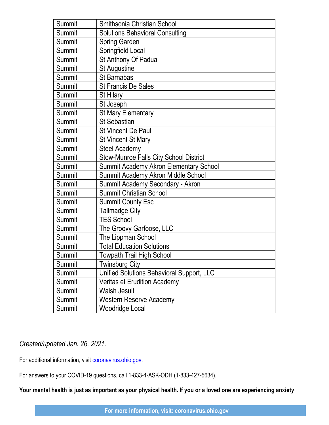| Summit        | Smithsonia Christian School                   |
|---------------|-----------------------------------------------|
| Summit        | <b>Solutions Behavioral Consulting</b>        |
| Summit        | <b>Spring Garden</b>                          |
| Summit        | Springfield Local                             |
| Summit        | St Anthony Of Padua                           |
| Summit        | <b>St Augustine</b>                           |
| Summit        | <b>St Barnabas</b>                            |
| Summit        | <b>St Francis De Sales</b>                    |
| Summit        | <b>St Hilary</b>                              |
| Summit        | St Joseph                                     |
| Summit        | <b>St Mary Elementary</b>                     |
| Summit        | <b>St Sebastian</b>                           |
| Summit        | <b>St Vincent De Paul</b>                     |
| Summit        | <b>St Vincent St Mary</b>                     |
| Summit        | <b>Steel Academy</b>                          |
| Summit        | <b>Stow-Munroe Falls City School District</b> |
| Summit        | Summit Academy Akron Elementary School        |
| <b>Summit</b> | Summit Academy Akron Middle School            |
| Summit        | Summit Academy Secondary - Akron              |
| Summit        | <b>Summit Christian School</b>                |
| Summit        | <b>Summit County Esc</b>                      |
| Summit        | <b>Tallmadge City</b>                         |
| Summit        | <b>TES School</b>                             |
| Summit        | The Groovy Garfoose, LLC                      |
| Summit        | The Lippman School                            |
| Summit        | <b>Total Education Solutions</b>              |
| Summit        | <b>Towpath Trail High School</b>              |
| Summit        | Twinsburg City                                |
| Summit        | Unified Solutions Behavioral Support, LLC     |
| Summit        | <b>Veritas et Erudition Academy</b>           |
| Summit        | <b>Walsh Jesuit</b>                           |
| Summit        | <b>Western Reserve Academy</b>                |
| Summit        | Woodridge Local                               |

*Created/updated Jan. 26, 2021.*

For additional information, visit [coronavirus.ohio.gov.](http://coronavirus.ohio.gov/)

For answers to your COVID-19 questions, call 1-833-4-ASK-ODH (1-833-427-5634).

**Your mental health is just as important as your physical health. If you or a loved one are experiencing anxiety**